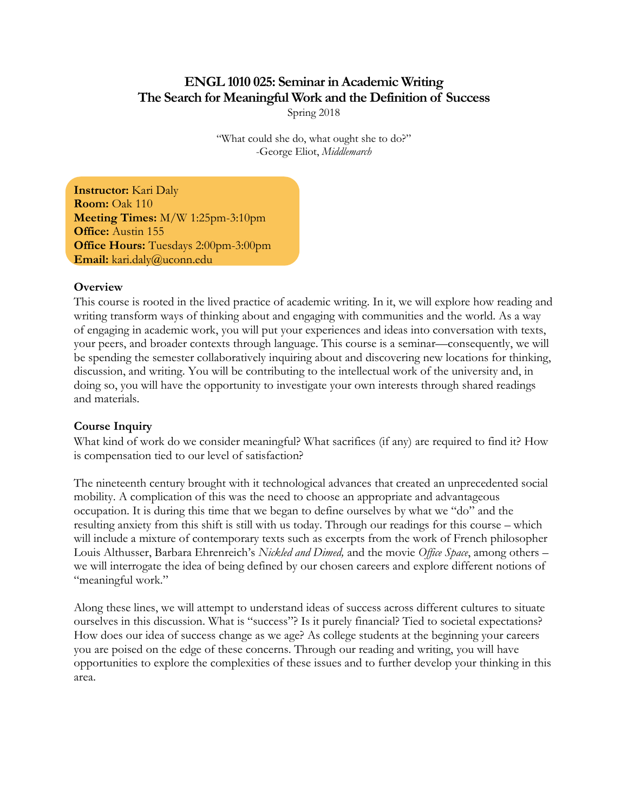# **ENGL 1010 025: Seminar in Academic Writing The Search for Meaningful Work and the Definition of Success** Spring 2018

"What could she do, what ought she to do?" -George Eliot, *Middlemarch*

**Instructor:** Kari Daly **Room:** Oak 110 **Meeting Times:** M/W 1:25pm-3:10pm **Office:** Austin 155 **Office Hours:** Tuesdays 2:00pm-3:00pm **Email:** kari.daly@uconn.edu

#### **Overview**

This course is rooted in the lived practice of academic writing. In it, we will explore how reading and writing transform ways of thinking about and engaging with communities and the world. As a way of engaging in academic work, you will put your experiences and ideas into conversation with texts, your peers, and broader contexts through language. This course is a seminar—consequently, we will be spending the semester collaboratively inquiring about and discovering new locations for thinking, discussion, and writing. You will be contributing to the intellectual work of the university and, in doing so, you will have the opportunity to investigate your own interests through shared readings and materials.

#### **Course Inquiry**

What kind of work do we consider meaningful? What sacrifices (if any) are required to find it? How is compensation tied to our level of satisfaction?

The nineteenth century brought with it technological advances that created an unprecedented social mobility. A complication of this was the need to choose an appropriate and advantageous occupation. It is during this time that we began to define ourselves by what we "do" and the resulting anxiety from this shift is still with us today. Through our readings for this course – which will include a mixture of contemporary texts such as excerpts from the work of French philosopher Louis Althusser, Barbara Ehrenreich's *Nickled and Dimed,* and the movie *Office Space*, among others – we will interrogate the idea of being defined by our chosen careers and explore different notions of "meaningful work."

Along these lines, we will attempt to understand ideas of success across different cultures to situate ourselves in this discussion. What is "success"? Is it purely financial? Tied to societal expectations? How does our idea of success change as we age? As college students at the beginning your careers you are poised on the edge of these concerns. Through our reading and writing, you will have opportunities to explore the complexities of these issues and to further develop your thinking in this area.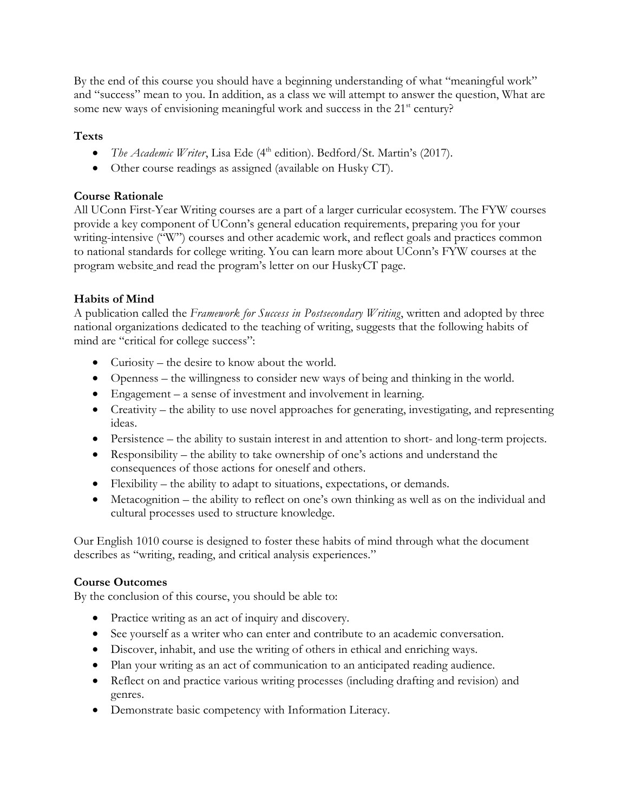By the end of this course you should have a beginning understanding of what "meaningful work" and "success" mean to you. In addition, as a class we will attempt to answer the question, What are some new ways of envisioning meaningful work and success in the 21<sup>st</sup> century?

## **Texts**

- *The Academic Writer*, Lisa Ede (4<sup>th</sup> edition). Bedford/St. Martin's (2017).
- Other course readings as assigned (available on Husky CT).

### **Course Rationale**

All UConn First-Year Writing courses are a part of a larger curricular ecosystem. The FYW courses provide a key component of UConn's general education requirements, preparing you for your writing-intensive ("W") courses and other academic work, and reflect goals and practices common to national standards for college writing. You can learn more about UConn's FYW courses at the program website and read the program's letter on our HuskyCT page.

### **Habits of Mind**

A publication called the *Framework for Success in Postsecondary Writing*, written and adopted by three national organizations dedicated to the teaching of writing, suggests that the following habits of mind are "critical for college success":

- Curiosity the desire to know about the world.
- Openness the willingness to consider new ways of being and thinking in the world.
- Engagement a sense of investment and involvement in learning.
- Creativity the ability to use novel approaches for generating, investigating, and representing ideas.
- Persistence the ability to sustain interest in and attention to short- and long-term projects.
- Responsibility the ability to take ownership of one's actions and understand the consequences of those actions for oneself and others.
- Flexibility the ability to adapt to situations, expectations, or demands.
- Metacognition the ability to reflect on one's own thinking as well as on the individual and cultural processes used to structure knowledge.

Our English 1010 course is designed to foster these habits of mind through what the document describes as "writing, reading, and critical analysis experiences."

### **Course Outcomes**

By the conclusion of this course, you should be able to:

- Practice writing as an act of inquiry and discovery.
- See yourself as a writer who can enter and contribute to an academic conversation.
- Discover, inhabit, and use the writing of others in ethical and enriching ways.
- Plan your writing as an act of communication to an anticipated reading audience.
- Reflect on and practice various writing processes (including drafting and revision) and genres.
- Demonstrate basic competency with Information Literacy.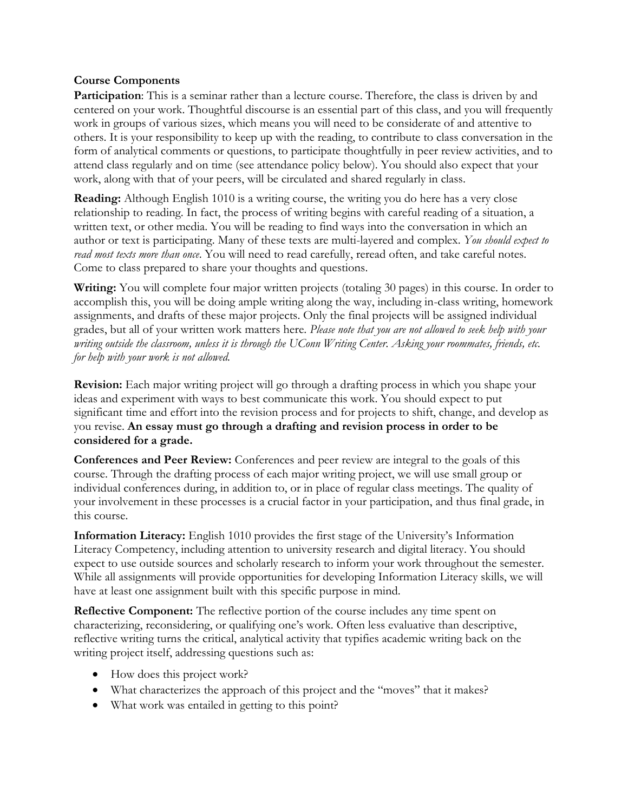#### **Course Components**

Participation: This is a seminar rather than a lecture course. Therefore, the class is driven by and centered on your work. Thoughtful discourse is an essential part of this class, and you will frequently work in groups of various sizes, which means you will need to be considerate of and attentive to others. It is your responsibility to keep up with the reading, to contribute to class conversation in the form of analytical comments or questions, to participate thoughtfully in peer review activities, and to attend class regularly and on time (see attendance policy below). You should also expect that your work, along with that of your peers, will be circulated and shared regularly in class.

**Reading:** Although English 1010 is a writing course, the writing you do here has a very close relationship to reading. In fact, the process of writing begins with careful reading of a situation, a written text, or other media. You will be reading to find ways into the conversation in which an author or text is participating. Many of these texts are multi-layered and complex. *You should expect to read most texts more than once*. You will need to read carefully, reread often, and take careful notes. Come to class prepared to share your thoughts and questions.

**Writing:** You will complete four major written projects (totaling 30 pages) in this course. In order to accomplish this, you will be doing ample writing along the way, including in-class writing, homework assignments, and drafts of these major projects. Only the final projects will be assigned individual grades, but all of your written work matters here. *Please note that you are not allowed to seek help with your writing outside the classroom, unless it is through the UConn Writing Center. Asking your roommates, friends, etc. for help with your work is not allowed.*

**Revision:** Each major writing project will go through a drafting process in which you shape your ideas and experiment with ways to best communicate this work. You should expect to put significant time and effort into the revision process and for projects to shift, change, and develop as you revise. **An essay must go through a drafting and revision process in order to be considered for a grade.** 

**Conferences and Peer Review:** Conferences and peer review are integral to the goals of this course. Through the drafting process of each major writing project, we will use small group or individual conferences during, in addition to, or in place of regular class meetings. The quality of your involvement in these processes is a crucial factor in your participation, and thus final grade, in this course.

**Information Literacy:** English 1010 provides the first stage of the University's Information Literacy Competency, including attention to university research and digital literacy. You should expect to use outside sources and scholarly research to inform your work throughout the semester. While all assignments will provide opportunities for developing Information Literacy skills, we will have at least one assignment built with this specific purpose in mind.

**Reflective Component:** The reflective portion of the course includes any time spent on characterizing, reconsidering, or qualifying one's work. Often less evaluative than descriptive, reflective writing turns the critical, analytical activity that typifies academic writing back on the writing project itself, addressing questions such as:

- How does this project work?
- What characterizes the approach of this project and the "moves" that it makes?
- What work was entailed in getting to this point?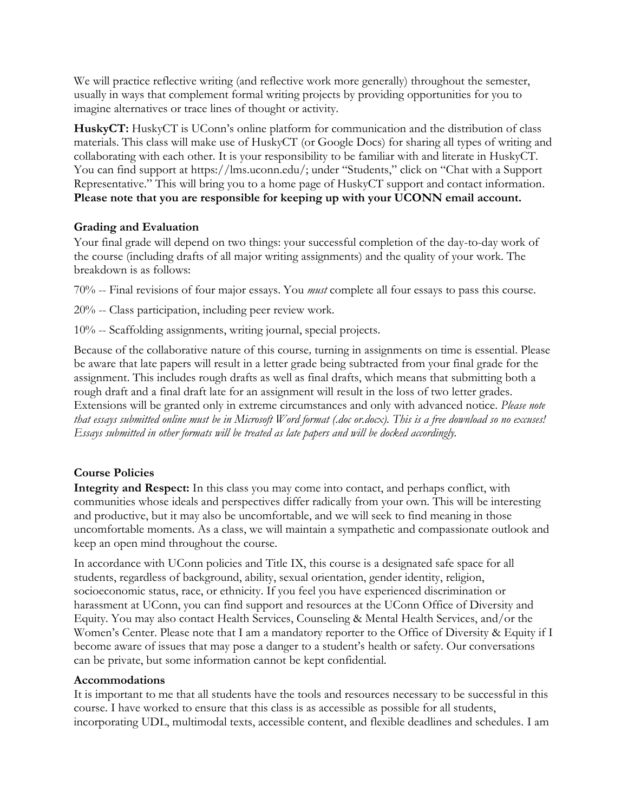We will practice reflective writing (and reflective work more generally) throughout the semester, usually in ways that complement formal writing projects by providing opportunities for you to imagine alternatives or trace lines of thought or activity.

**HuskyCT:** HuskyCT is UConn's online platform for communication and the distribution of class materials. This class will make use of HuskyCT (or Google Docs) for sharing all types of writing and collaborating with each other. It is your responsibility to be familiar with and literate in HuskyCT. You can find support at https://lms.uconn.edu/; under "Students," click on "Chat with a Support Representative." This will bring you to a home page of HuskyCT support and contact information. **Please note that you are responsible for keeping up with your UCONN email account.** 

#### **Grading and Evaluation**

Your final grade will depend on two things: your successful completion of the day-to-day work of the course (including drafts of all major writing assignments) and the quality of your work. The breakdown is as follows:

70% -- Final revisions of four major essays. You *must* complete all four essays to pass this course.

20% -- Class participation, including peer review work.

10% -- Scaffolding assignments, writing journal, special projects.

Because of the collaborative nature of this course*,* turning in assignments on time is essential. Please be aware that late papers will result in a letter grade being subtracted from your final grade for the assignment. This includes rough drafts as well as final drafts, which means that submitting both a rough draft and a final draft late for an assignment will result in the loss of two letter grades. Extensions will be granted only in extreme circumstances and only with advanced notice. *Please note that essays submitted online must be in Microsoft Word format (.doc or.docx). This is a free download so no excuses! Essays submitted in other formats will be treated as late papers and will be docked accordingly.*

### **Course Policies**

**Integrity and Respect:** In this class you may come into contact, and perhaps conflict, with communities whose ideals and perspectives differ radically from your own. This will be interesting and productive, but it may also be uncomfortable, and we will seek to find meaning in those uncomfortable moments. As a class, we will maintain a sympathetic and compassionate outlook and keep an open mind throughout the course.

In accordance with UConn policies and Title IX, this course is a designated safe space for all students, regardless of background, ability, sexual orientation, gender identity, religion, socioeconomic status, race, or ethnicity. If you feel you have experienced discrimination or harassment at UConn, you can find support and resources at the UConn Office of Diversity and Equity. You may also contact Health Services, Counseling & Mental Health Services, and/or the Women's Center. Please note that I am a mandatory reporter to the Office of Diversity & Equity if I become aware of issues that may pose a danger to a student's health or safety. Our conversations can be private, but some information cannot be kept confidential.

#### **Accommodations**

It is important to me that all students have the tools and resources necessary to be successful in this course. I have worked to ensure that this class is as accessible as possible for all students, incorporating UDL, multimodal texts, accessible content, and flexible deadlines and schedules. I am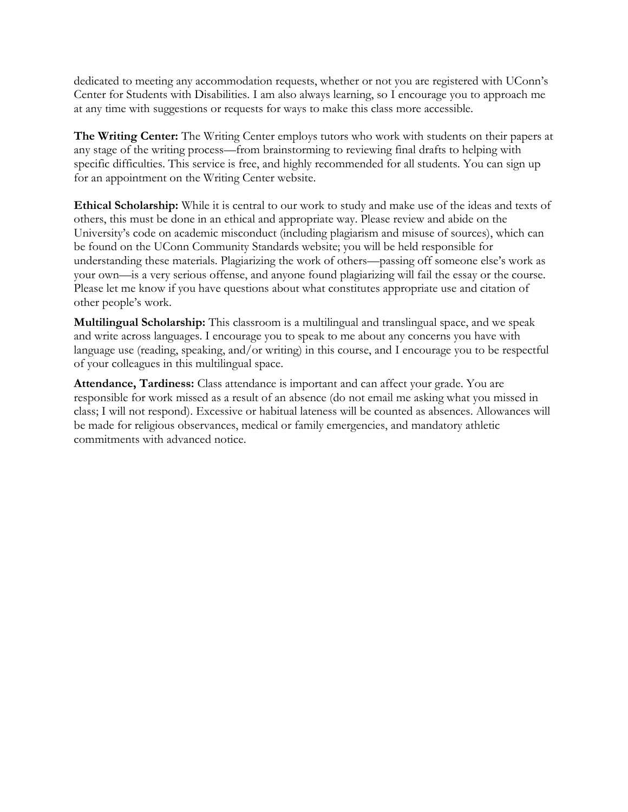dedicated to meeting any accommodation requests, whether or not you are registered with UConn's Center for Students with Disabilities. I am also always learning, so I encourage you to approach me at any time with suggestions or requests for ways to make this class more accessible.

**The Writing Center:** The Writing Center employs tutors who work with students on their papers at any stage of the writing process—from brainstorming to reviewing final drafts to helping with specific difficulties. This service is free, and highly recommended for all students. You can sign up for an appointment on the Writing Center website.

**Ethical Scholarship:** While it is central to our work to study and make use of the ideas and texts of others, this must be done in an ethical and appropriate way. Please review and abide on the University's code on academic misconduct (including plagiarism and misuse of sources), which can be found on the UConn Community Standards website; you will be held responsible for understanding these materials. Plagiarizing the work of others—passing off someone else's work as your own—is a very serious offense, and anyone found plagiarizing will fail the essay or the course. Please let me know if you have questions about what constitutes appropriate use and citation of other people's work.

**Multilingual Scholarship:** This classroom is a multilingual and translingual space, and we speak and write across languages. I encourage you to speak to me about any concerns you have with language use (reading, speaking, and/or writing) in this course, and I encourage you to be respectful of your colleagues in this multilingual space.

**Attendance, Tardiness:** Class attendance is important and can affect your grade. You are responsible for work missed as a result of an absence (do not email me asking what you missed in class; I will not respond). Excessive or habitual lateness will be counted as absences. Allowances will be made for religious observances, medical or family emergencies, and mandatory athletic commitments with advanced notice.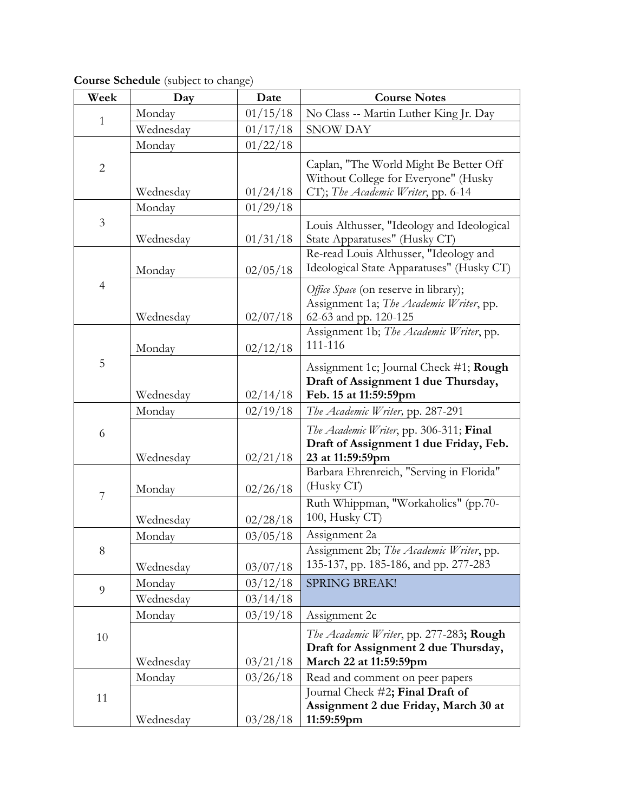| Week           | Day       | Date     | <b>Course Notes</b>                                                                                                  |
|----------------|-----------|----------|----------------------------------------------------------------------------------------------------------------------|
| 1              | Monday    | 01/15/18 | No Class -- Martin Luther King Jr. Day                                                                               |
|                | Wednesday | 01/17/18 | SNOW DAY                                                                                                             |
|                | Monday    | 01/22/18 |                                                                                                                      |
| $\overline{2}$ | Wednesday | 01/24/18 | Caplan, "The World Might Be Better Off<br>Without College for Everyone" (Husky<br>CT); The Academic Writer, pp. 6-14 |
|                | Monday    | 01/29/18 |                                                                                                                      |
| 3              | Wednesday | 01/31/18 | Louis Althusser, "Ideology and Ideological<br>State Apparatuses" (Husky CT)                                          |
| $\overline{4}$ | Monday    | 02/05/18 | Re-read Louis Althusser, "Ideology and<br>Ideological State Apparatuses" (Husky CT)                                  |
|                | Wednesday | 02/07/18 | Office Space (on reserve in library);<br>Assignment 1a; The Academic Writer, pp.<br>62-63 and pp. 120-125            |
| 5              | Monday    | 02/12/18 | Assignment 1b; The Academic Writer, pp.<br>111-116                                                                   |
|                | Wednesday | 02/14/18 | Assignment 1c; Journal Check #1; Rough<br>Draft of Assignment 1 due Thursday,<br>Feb. 15 at 11:59:59pm               |
|                | Monday    | 02/19/18 | The Academic Writer, pp. 287-291                                                                                     |
| 6              | Wednesday | 02/21/18 | The Academic Writer, pp. 306-311; Final<br>Draft of Assignment 1 due Friday, Feb.<br>23 at 11:59:59pm                |
| 7              | Monday    | 02/26/18 | Barbara Ehrenreich, "Serving in Florida"<br>(Husky CT)                                                               |
|                | Wednesday | 02/28/18 | Ruth Whippman, "Workaholics" (pp.70-<br>100, Husky CT)                                                               |
| 8              | Monday    | 03/05/18 | Assignment 2a                                                                                                        |
|                | Wednesday | 03/07/18 | Assignment 2b; The Academic Writer, pp.<br>135-137, pp. 185-186, and pp. 277-283                                     |
| 9              | Monday    | 03/12/18 | <b>SPRING BREAK!</b>                                                                                                 |
|                | Wednesday | 03/14/18 |                                                                                                                      |
|                | Monday    | 03/19/18 | Assignment 2c                                                                                                        |
| 10             | Wednesday | 03/21/18 | The Academic Writer, pp. 277-283; Rough<br>Draft for Assignment 2 due Thursday,<br>March 22 at 11:59:59pm            |
| 11             | Monday    | 03/26/18 | Read and comment on peer papers                                                                                      |
|                | Wednesday | 03/28/18 | Journal Check #2; Final Draft of<br>Assignment 2 due Friday, March 30 at<br>11:59:59pm                               |

**Course Schedule** (subject to change)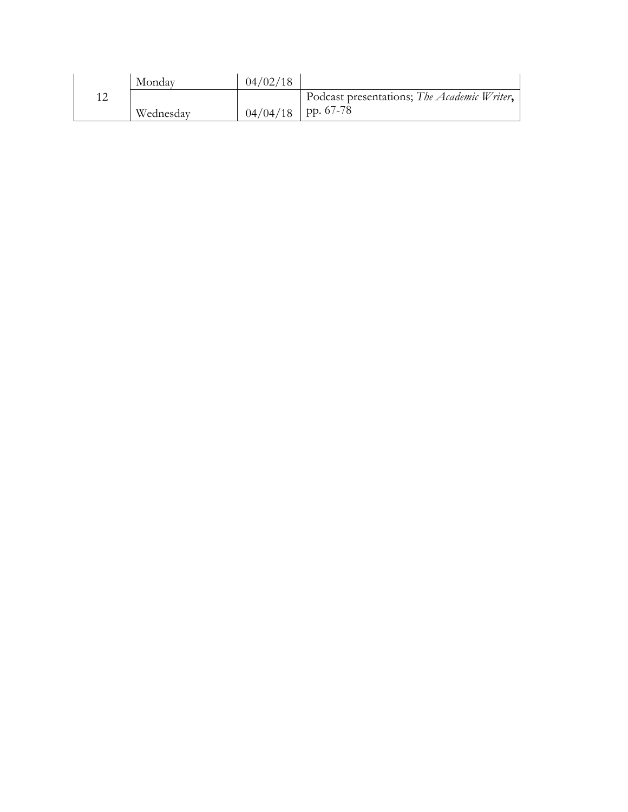|     | Monday    | 04/02/18 |                                             |
|-----|-----------|----------|---------------------------------------------|
| 1 ጣ |           |          | Podcast presentations; The Academic Writer, |
|     | Wednesday |          | $04/04/18$   pp. 67-78                      |